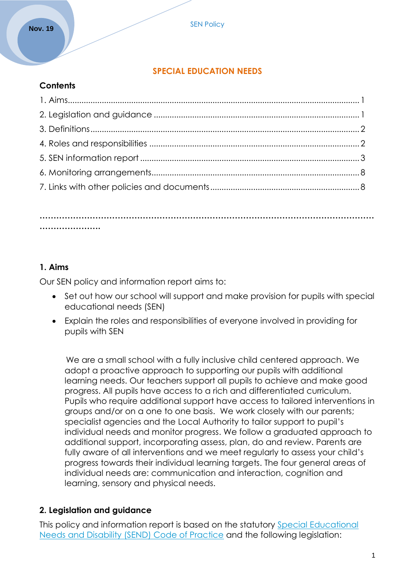#### **SPECIAL EDUCATION NEEDS**

#### **Contents**

#### **………………………………………………………………………………………………………… ………………….**

#### **1. Aims**

Our SEN policy and information report aims to:

- Set out how our school will support and make provision for pupils with special educational needs (SEN)
- Explain the roles and responsibilities of everyone involved in providing for pupils with SEN

 We are a small school with a fully inclusive child centered approach. We adopt a proactive approach to supporting our pupils with additional learning needs. Our teachers support all pupils to achieve and make good progress. All pupils have access to a rich and differentiated curriculum. Pupils who require additional support have access to tailored interventions in groups and/or on a one to one basis. We work closely with our parents; specialist agencies and the Local Authority to tailor support to pupil's individual needs and monitor progress. We follow a graduated approach to additional support, incorporating assess, plan, do and review. Parents are fully aware of all interventions and we meet regularly to assess your child's progress towards their individual learning targets. The four general areas of individual needs are: communication and interaction, cognition and learning, sensory and physical needs.

#### **2. Legislation and guidance**

This policy and information report is based on the statutory [Special Educational](https://www.gov.uk/government/uploads/system/uploads/attachment_data/file/398815/SEND_Code_of_Practice_January_2015.pdf)  [Needs and Disability \(SEND\) Code of Practice](https://www.gov.uk/government/uploads/system/uploads/attachment_data/file/398815/SEND_Code_of_Practice_January_2015.pdf) and the following legislation: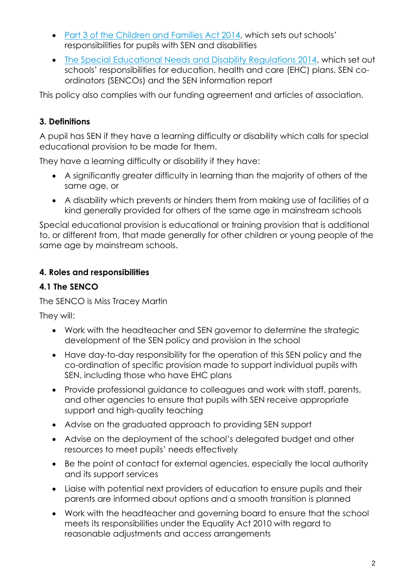- [Part 3 of the Children and Families Act 2014](http://www.legislation.gov.uk/ukpga/2014/6/part/3), which sets out schools' responsibilities for pupils with SEN and disabilities
- [The Special Educational Needs and Disability Regulations 2014,](http://www.legislation.gov.uk/uksi/2014/1530/contents/made) which set out schools' responsibilities for education, health and care (EHC) plans, SEN coordinators (SENCOs) and the SEN information report

This policy also complies with our funding agreement and articles of association.

# **3. Definitions**

A pupil has SEN if they have a learning difficulty or disability which calls for special educational provision to be made for them.

They have a learning difficulty or disability if they have:

- A significantly greater difficulty in learning than the majority of others of the same age, or
- A disability which prevents or hinders them from making use of facilities of a kind generally provided for others of the same age in mainstream schools

Special educational provision is educational or training provision that is additional to, or different from, that made generally for other children or young people of the same age by mainstream schools.

## **4. Roles and responsibilities**

## **4.1 The SENCO**

The SENCO is Miss Tracey Martin

They will:

- Work with the headteacher and SEN governor to determine the strategic development of the SEN policy and provision in the school
- Have day-to-day responsibility for the operation of this SEN policy and the co-ordination of specific provision made to support individual pupils with SEN, including those who have EHC plans
- Provide professional guidance to colleagues and work with staff, parents, and other agencies to ensure that pupils with SEN receive appropriate support and high-quality teaching
- Advise on the graduated approach to providing SEN support
- Advise on the deployment of the school's delegated budget and other resources to meet pupils' needs effectively
- Be the point of contact for external agencies, especially the local authority and its support services
- Liaise with potential next providers of education to ensure pupils and their parents are informed about options and a smooth transition is planned
- Work with the headteacher and governing board to ensure that the school meets its responsibilities under the Equality Act 2010 with regard to reasonable adjustments and access arrangements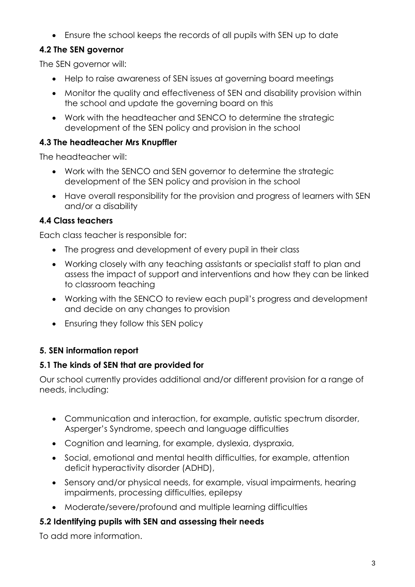Ensure the school keeps the records of all pupils with SEN up to date

# **4.2 The SEN governor**

The SEN governor will:

- Help to raise awareness of SEN issues at governing board meetings
- Monitor the quality and effectiveness of SEN and disability provision within the school and update the governing board on this
- Work with the headteacher and SENCO to determine the strategic development of the SEN policy and provision in the school

### **4.3 The headteacher Mrs Knupffler**

The headteacher will:

- Work with the SENCO and SEN governor to determine the strategic development of the SEN policy and provision in the school
- Have overall responsibility for the provision and progress of learners with SEN and/or a disability

## **4.4 Class teachers**

Each class teacher is responsible for:

- The progress and development of every pupil in their class
- Working closely with any teaching assistants or specialist staff to plan and assess the impact of support and interventions and how they can be linked to classroom teaching
- Working with the SENCO to review each pupil's progress and development and decide on any changes to provision
- Ensuring they follow this SEN policy

# **5. SEN information report**

## **5.1 The kinds of SEN that are provided for**

Our school currently provides additional and/or different provision for a range of needs, including:

- Communication and interaction, for example, autistic spectrum disorder, Asperger's Syndrome, speech and language difficulties
- Cognition and learning, for example, dyslexia, dyspraxia,
- Social, emotional and mental health difficulties, for example, attention deficit hyperactivity disorder (ADHD),
- Sensory and/or physical needs, for example, visual impairments, hearing impairments, processing difficulties, epilepsy
- Moderate/severe/profound and multiple learning difficulties

## **5.2 Identifying pupils with SEN and assessing their needs**

To add more information.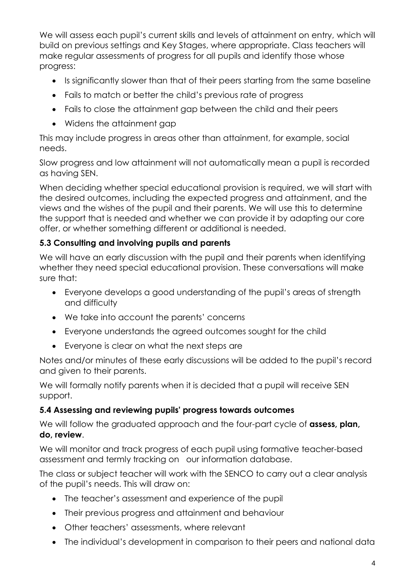We will assess each pupil's current skills and levels of attainment on entry, which will build on previous settings and Key Stages, where appropriate. Class teachers will make regular assessments of progress for all pupils and identify those whose progress:

- Is significantly slower than that of their peers starting from the same baseline
- Fails to match or better the child's previous rate of progress
- Fails to close the attainment gap between the child and their peers
- Widens the attainment gap

This may include progress in areas other than attainment, for example, social needs.

Slow progress and low attainment will not automatically mean a pupil is recorded as having SEN.

When deciding whether special educational provision is required, we will start with the desired outcomes, including the expected progress and attainment, and the views and the wishes of the pupil and their parents. We will use this to determine the support that is needed and whether we can provide it by adapting our core offer, or whether something different or additional is needed.

#### **5.3 Consulting and involving pupils and parents**

We will have an early discussion with the pupil and their parents when identifying whether they need special educational provision. These conversations will make sure that:

- Everyone develops a good understanding of the pupil's areas of strength and difficulty
- We take into account the parents' concerns
- Everyone understands the agreed outcomes sought for the child
- Everyone is clear on what the next steps are

Notes and/or minutes of these early discussions will be added to the pupil's record and given to their parents.

We will formally notify parents when it is decided that a pupil will receive SEN support.

#### **5.4 Assessing and reviewing pupils' progress towards outcomes**

We will follow the graduated approach and the four-part cycle of **assess, plan, do, review**.

We will monitor and track progress of each pupil using formative teacher-based assessment and termly tracking on our information database.

The class or subject teacher will work with the SENCO to carry out a clear analysis of the pupil's needs. This will draw on:

- The teacher's assessment and experience of the pupil
- Their previous progress and attainment and behaviour
- Other teachers' assessments, where relevant
- The individual's development in comparison to their peers and national data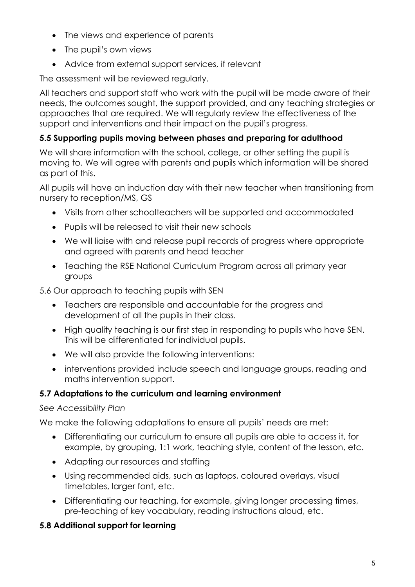- The views and experience of parents
- The pupil's own views
- Advice from external support services, if relevant

The assessment will be reviewed regularly.

All teachers and support staff who work with the pupil will be made aware of their needs, the outcomes sought, the support provided, and any teaching strategies or approaches that are required. We will regularly review the effectiveness of the support and interventions and their impact on the pupil's progress.

### **5.5 Supporting pupils moving between phases and preparing for adulthood**

We will share information with the school, college, or other setting the pupil is moving to. We will agree with parents and pupils which information will be shared as part of this.

All pupils will have an induction day with their new teacher when transitioning from nursery to reception/MS, GS

- Visits from other schoolteachers will be supported and accommodated
- Pupils will be released to visit their new schools
- We will liaise with and release pupil records of progress where appropriate and agreed with parents and head teacher
- Teaching the RSE National Curriculum Program across all primary year groups

5.6 Our approach to teaching pupils with SEN

- Teachers are responsible and accountable for the progress and development of all the pupils in their class.
- High quality teaching is our first step in responding to pupils who have SEN. This will be differentiated for individual pupils.
- We will also provide the following interventions:
- interventions provided include speech and language groups, reading and maths intervention support.

## **5.7 Adaptations to the curriculum and learning environment**

#### *See Accessibility Plan*

We make the following adaptations to ensure all pupils' needs are met:

- Differentiating our curriculum to ensure all pupils are able to access it, for example, by grouping, 1:1 work, teaching style, content of the lesson, etc.
- Adapting our resources and staffing
- Using recommended aids, such as laptops, coloured overlays, visual timetables, larger font, etc.
- Differentiating our teaching, for example, giving longer processing times, pre-teaching of key vocabulary, reading instructions aloud, etc.

## **5.8 Additional support for learning**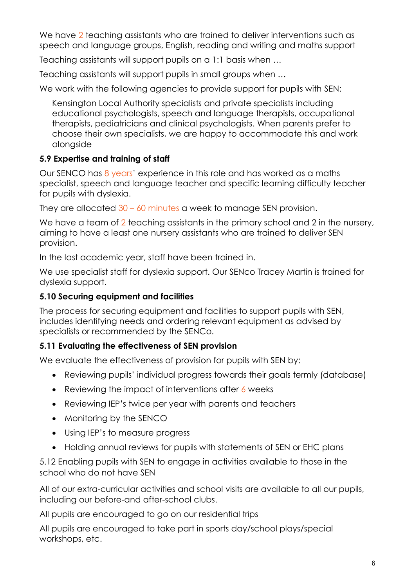We have 2 teaching assistants who are trained to deliver interventions such as speech and language groups, English, reading and writing and maths support

Teaching assistants will support pupils on a 1:1 basis when …

Teaching assistants will support pupils in small groups when …

We work with the following agencies to provide support for pupils with SEN:

Kensington Local Authority specialists and private specialists including educational psychologists, speech and language therapists, occupational therapists, pediatricians and clinical psychologists. When parents prefer to choose their own specialists, we are happy to accommodate this and work alongside

## **5.9 Expertise and training of staff**

Our SENCO has 8 years' experience in this role and has worked as a maths specialist, speech and language teacher and specific learning difficulty teacher for pupils with dyslexia.

They are allocated  $30 - 60$  minutes a week to manage SEN provision.

We have a team of 2 teaching assistants in the primary school and 2 in the nursery, aiming to have a least one nursery assistants who are trained to deliver SEN provision.

In the last academic year, staff have been trained in.

We use specialist staff for dyslexia support. Our SENco Tracey Martin is trained for dyslexia support.

## **5.10 Securing equipment and facilities**

The process for securing equipment and facilities to support pupils with SEN, includes identifying needs and ordering relevant equipment as advised by specialists or recommended by the SENCo.

## **5.11 Evaluating the effectiveness of SEN provision**

We evaluate the effectiveness of provision for pupils with SEN by:

- Reviewing pupils' individual progress towards their goals termly (database)
- Reviewing the impact of interventions after 6 weeks
- Reviewing IEP's twice per year with parents and teachers
- Monitoring by the SENCO
- Using IEP's to measure progress
- Holding annual reviews for pupils with statements of SEN or EHC plans

5.12 Enabling pupils with SEN to engage in activities available to those in the school who do not have SEN

All of our extra-curricular activities and school visits are available to all our pupils, including our before-and after-school clubs.

All pupils are encouraged to go on our residential trips

All pupils are encouraged to take part in sports day/school plays/special workshops, etc.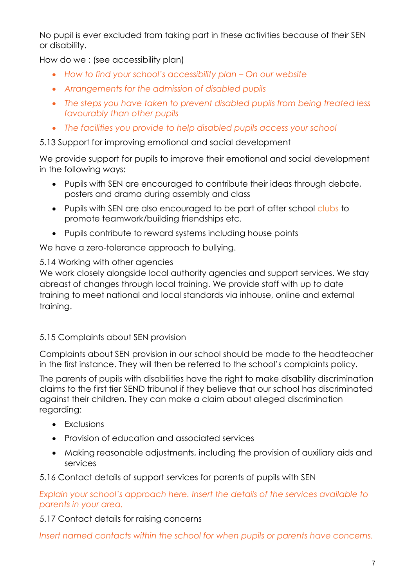No pupil is ever excluded from taking part in these activities because of their SEN or disability.

How do we : (see accessibility plan)

- *How to find your school's accessibility plan – On our website*
- *Arrangements for the admission of disabled pupils*
- *The steps you have taken to prevent disabled pupils from being treated less favourably than other pupils*
- *The facilities you provide to help disabled pupils access your school*

#### 5.13 Support for improving emotional and social development

We provide support for pupils to improve their emotional and social development in the following ways:

- Pupils with SEN are encouraged to contribute their ideas through debate, posters and drama during assembly and class
- Pupils with SEN are also encouraged to be part of after school clubs to promote teamwork/building friendships etc.
- Pupils contribute to reward systems including house points

We have a zero-tolerance approach to bullying.

#### 5.14 Working with other agencies

We work closely alongside local authority agencies and support services. We stay abreast of changes through local training. We provide staff with up to date training to meet national and local standards via inhouse, online and external training.

## 5.15 Complaints about SEN provision

Complaints about SEN provision in our school should be made to the headteacher in the first instance. They will then be referred to the school's complaints policy.

The parents of pupils with disabilities have the right to make disability discrimination claims to the first tier SEND tribunal if they believe that our school has discriminated against their children. They can make a claim about alleged discrimination regarding:

- Exclusions
- Provision of education and associated services
- Making reasonable adjustments, including the provision of auxiliary aids and services

5.16 Contact details of support services for parents of pupils with SEN

*Explain your school's approach here. Insert the details of the services available to parents in your area.*

## 5.17 Contact details for raising concerns

*Insert named contacts within the school for when pupils or parents have concerns.*